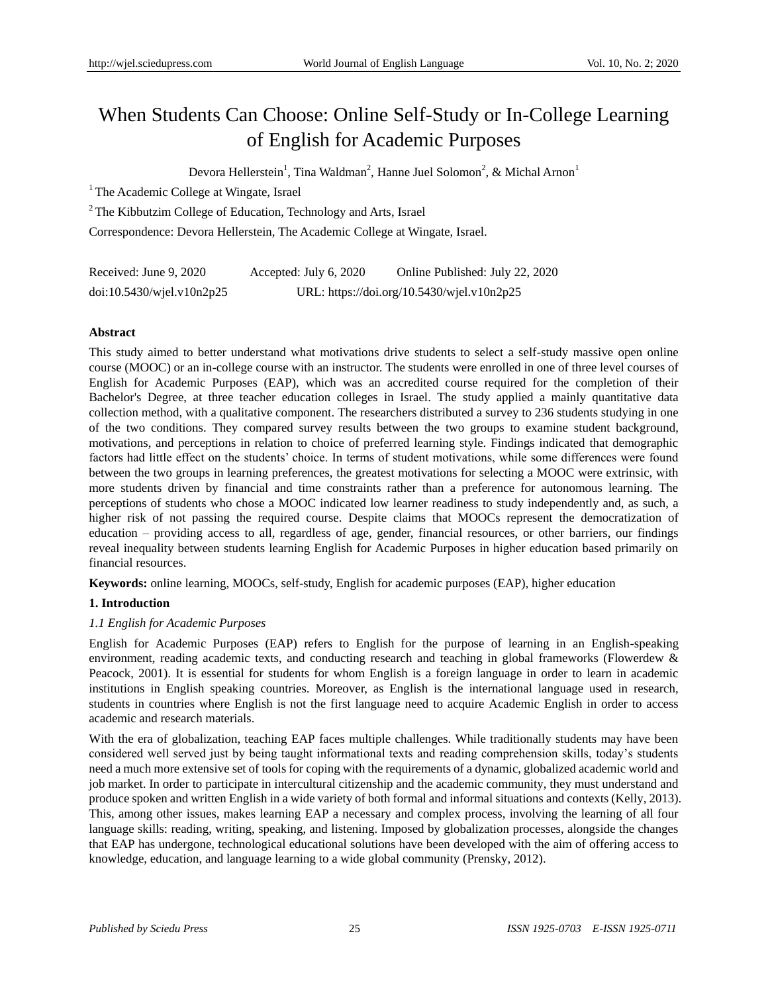# When Students Can Choose: Online Self-Study or In-College Learning of English for Academic Purposes

Devora Hellerstein<sup>1</sup>, Tina Waldman<sup>2</sup>, Hanne Juel Solomon<sup>2</sup>, & Michal Arnon<sup>1</sup>

<sup>1</sup> The Academic College at Wingate, Israel

<sup>2</sup> The Kibbutzim College of Education, Technology and Arts, Israel

Correspondence: Devora Hellerstein, The Academic College at Wingate, Israel.

| Received: June 9, 2020          | Accepted: July $6, 2020$                   | Online Published: July 22, 2020 |  |
|---------------------------------|--------------------------------------------|---------------------------------|--|
| $doi:10.5430/w$ jel.v $10n2p25$ | URL: https://doi.org/10.5430/wjel.v10n2p25 |                                 |  |

# **Abstract**

This study aimed to better understand what motivations drive students to select a self-study massive open online course (MOOC) or an in-college course with an instructor. The students were enrolled in one of three level courses of English for Academic Purposes (EAP), which was an accredited course required for the completion of their Bachelor's Degree, at three teacher education colleges in Israel. The study applied a mainly quantitative data collection method, with a qualitative component. The researchers distributed a survey to 236 students studying in one of the two conditions. They compared survey results between the two groups to examine student background, motivations, and perceptions in relation to choice of preferred learning style. Findings indicated that demographic factors had little effect on the students' choice. In terms of student motivations, while some differences were found between the two groups in learning preferences, the greatest motivations for selecting a MOOC were extrinsic, with more students driven by financial and time constraints rather than a preference for autonomous learning. The perceptions of students who chose a MOOC indicated low learner readiness to study independently and, as such, a higher risk of not passing the required course. Despite claims that MOOCs represent the democratization of education – providing access to all, regardless of age, gender, financial resources, or other barriers, our findings reveal inequality between students learning English for Academic Purposes in higher education based primarily on financial resources.

**Keywords:** online learning, MOOCs, self-study, English for academic purposes (EAP), higher education

# **1. Introduction**

# *1.1 English for Academic Purposes*

English for Academic Purposes (EAP) refers to English for the purpose of learning in an English-speaking environment, reading academic texts, and conducting research and teaching in global frameworks (Flowerdew & Peacock, 2001). It is essential for students for whom English is a foreign language in order to learn in academic institutions in English speaking countries. Moreover, as English is the international language used in research, students in countries where English is not the first language need to acquire Academic English in order to access academic and research materials.

With the era of globalization, teaching EAP faces multiple challenges. While traditionally students may have been considered well served just by being taught informational texts and reading comprehension skills, today's students need a much more extensive set of tools for coping with the requirements of a dynamic, globalized academic world and job market. In order to participate in intercultural citizenship and the academic community, they must understand and produce spoken and written English in a wide variety of both formal and informal situations and contexts (Kelly, 2013). This, among other issues, makes learning EAP a necessary and complex process, involving the learning of all four language skills: reading, writing, speaking, and listening. Imposed by globalization processes, alongside the changes that EAP has undergone, technological educational solutions have been developed with the aim of offering access to knowledge, education, and language learning to a wide global community (Prensky, 2012).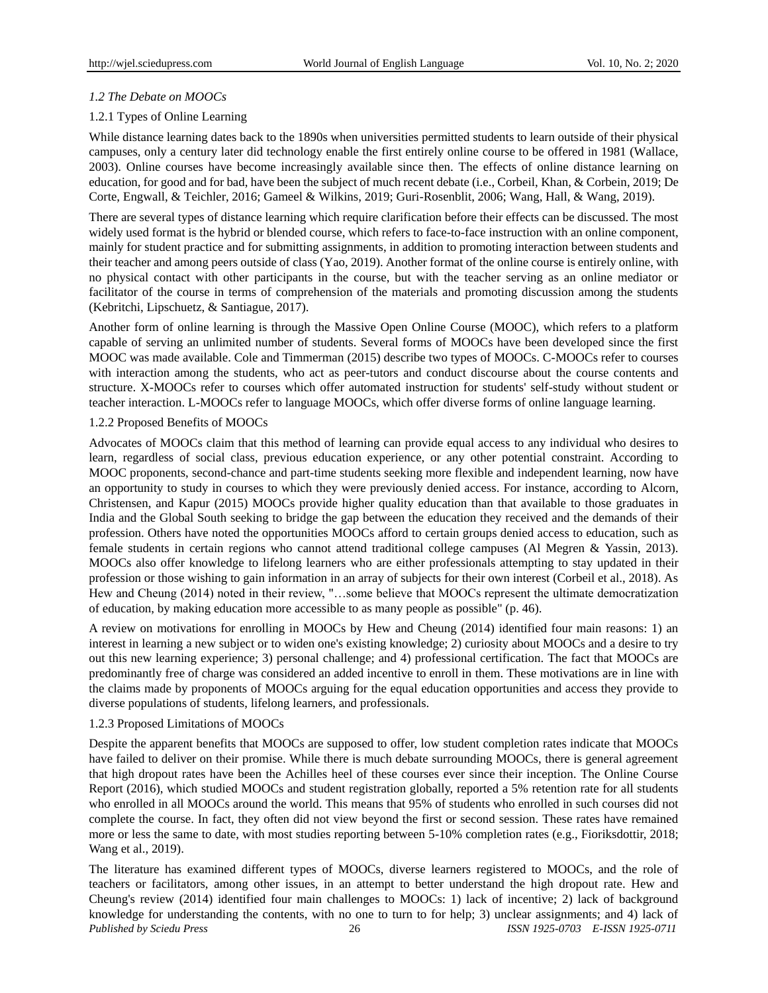# *1.2 The Debate on MOOCs*

# 1.2.1 Types of Online Learning

While distance learning dates back to the 1890s when universities permitted students to learn outside of their physical campuses, only a century later did technology enable the first entirely online course to be offered in 1981 (Wallace, 2003). Online courses have become increasingly available since then. The effects of online distance learning on education, for good and for bad, have been the subject of much recent debate (i.e., Corbeil, Khan, & Corbein, 2019; De Corte, Engwall, & Teichler, 2016; Gameel & Wilkins, 2019; Guri-Rosenblit, 2006; Wang, Hall, & Wang, 2019).

There are several types of distance learning which require clarification before their effects can be discussed. The most widely used format is the hybrid or blended course, which refers to face-to-face instruction with an online component, mainly for student practice and for submitting assignments, in addition to promoting interaction between students and their teacher and among peers outside of class (Yao, 2019). Another format of the online course is entirely online, with no physical contact with other participants in the course, but with the teacher serving as an online mediator or facilitator of the course in terms of comprehension of the materials and promoting discussion among the students (Kebritchi, Lipschuetz, & Santiague, 2017).

Another form of online learning is through the Massive Open Online Course (MOOC), which refers to a platform capable of serving an unlimited number of students. Several forms of MOOCs have been developed since the first MOOC was made available. Cole and Timmerman (2015) describe two types of MOOCs. C-MOOCs refer to courses with interaction among the students, who act as peer-tutors and conduct discourse about the course contents and structure. X-MOOCs refer to courses which offer automated instruction for students' self-study without student or teacher interaction. L-MOOCs refer to language MOOCs, which offer diverse forms of online language learning.

# 1.2.2 Proposed Benefits of MOOCs

Advocates of MOOCs claim that this method of learning can provide equal access to any individual who desires to learn, regardless of social class, previous education experience, or any other potential constraint. According to MOOC proponents, second-chance and part-time students seeking more flexible and independent learning, now have an opportunity to study in courses to which they were previously denied access. For instance, according to Alcorn, Christensen, and Kapur (2015) MOOCs provide higher quality education than that available to those graduates in India and the Global South seeking to bridge the gap between the education they received and the demands of their profession. Others have noted the opportunities MOOCs afford to certain groups denied access to education, such as female students in certain regions who cannot attend traditional college campuses (Al Megren & Yassin, 2013). MOOCs also offer knowledge to lifelong learners who are either professionals attempting to stay updated in their profession or those wishing to gain information in an array of subjects for their own interest (Corbeil et al., 2018). As Hew and Cheung (2014) noted in their review, "…some believe that MOOCs represent the ultimate democratization of education, by making education more accessible to as many people as possible" (p. 46).

A review on motivations for enrolling in MOOCs by Hew and Cheung (2014) identified four main reasons: 1) an interest in learning a new subject or to widen one's existing knowledge; 2) curiosity about MOOCs and a desire to try out this new learning experience; 3) personal challenge; and 4) professional certification. The fact that MOOCs are predominantly free of charge was considered an added incentive to enroll in them. These motivations are in line with the claims made by proponents of MOOCs arguing for the equal education opportunities and access they provide to diverse populations of students, lifelong learners, and professionals.

# 1.2.3 Proposed Limitations of MOOCs

Despite the apparent benefits that MOOCs are supposed to offer, low student completion rates indicate that MOOCs have failed to deliver on their promise. While there is much debate surrounding MOOCs, there is general agreement that high dropout rates have been the Achilles heel of these courses ever since their inception. The Online Course Report (2016), which studied MOOCs and student registration globally, reported a 5% retention rate for all students who enrolled in all MOOCs around the world. This means that 95% of students who enrolled in such courses did not complete the course. In fact, they often did not view beyond the first or second session. These rates have remained more or less the same to date, with most studies reporting between 5-10% completion rates (e.g., Fioriksdottir, 2018; Wang et al., 2019).

*Published by Sciedu Press* 26 *ISSN 1925-0703 E-ISSN 1925-0711* The literature has examined different types of MOOCs, diverse learners registered to MOOCs, and the role of teachers or facilitators, among other issues, in an attempt to better understand the high dropout rate. Hew and Cheung's review (2014) identified four main challenges to MOOCs: 1) lack of incentive; 2) lack of background knowledge for understanding the contents, with no one to turn to for help; 3) unclear assignments; and 4) lack of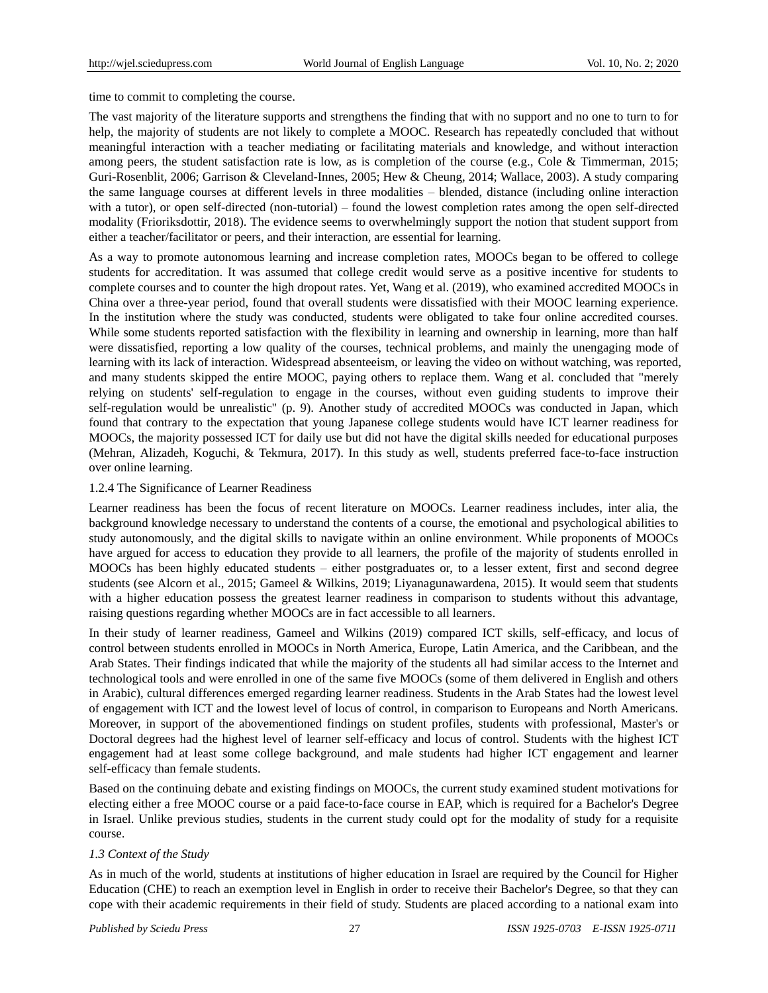time to commit to completing the course.

The vast majority of the literature supports and strengthens the finding that with no support and no one to turn to for help, the majority of students are not likely to complete a MOOC. Research has repeatedly concluded that without meaningful interaction with a teacher mediating or facilitating materials and knowledge, and without interaction among peers, the student satisfaction rate is low, as is completion of the course (e.g., Cole & Timmerman, 2015; Guri-Rosenblit, 2006; Garrison & Cleveland-Innes, 2005; Hew & Cheung, 2014; Wallace, 2003). A study comparing the same language courses at different levels in three modalities – blended, distance (including online interaction with a tutor), or open self-directed (non-tutorial) – found the lowest completion rates among the open self-directed modality (Frioriksdottir, 2018). The evidence seems to overwhelmingly support the notion that student support from either a teacher/facilitator or peers, and their interaction, are essential for learning.

As a way to promote autonomous learning and increase completion rates, MOOCs began to be offered to college students for accreditation. It was assumed that college credit would serve as a positive incentive for students to complete courses and to counter the high dropout rates. Yet, Wang et al. (2019), who examined accredited MOOCs in China over a three-year period, found that overall students were dissatisfied with their MOOC learning experience. In the institution where the study was conducted, students were obligated to take four online accredited courses. While some students reported satisfaction with the flexibility in learning and ownership in learning, more than half were dissatisfied, reporting a low quality of the courses, technical problems, and mainly the unengaging mode of learning with its lack of interaction. Widespread absenteeism, or leaving the video on without watching, was reported, and many students skipped the entire MOOC, paying others to replace them. Wang et al. concluded that "merely relying on students' self-regulation to engage in the courses, without even guiding students to improve their self-regulation would be unrealistic" (p. 9). Another study of accredited MOOCs was conducted in Japan, which found that contrary to the expectation that young Japanese college students would have ICT learner readiness for MOOCs, the majority possessed ICT for daily use but did not have the digital skills needed for educational purposes (Mehran, Alizadeh, Koguchi, & Tekmura, 2017). In this study as well, students preferred face-to-face instruction over online learning.

#### 1.2.4 The Significance of Learner Readiness

Learner readiness has been the focus of recent literature on MOOCs. Learner readiness includes, inter alia, the background knowledge necessary to understand the contents of a course, the emotional and psychological abilities to study autonomously, and the digital skills to navigate within an online environment. While proponents of MOOCs have argued for access to education they provide to all learners, the profile of the majority of students enrolled in MOOCs has been highly educated students – either postgraduates or, to a lesser extent, first and second degree students (see Alcorn et al., 2015; Gameel & Wilkins, 2019; Liyanagunawardena, 2015). It would seem that students with a higher education possess the greatest learner readiness in comparison to students without this advantage, raising questions regarding whether MOOCs are in fact accessible to all learners.

In their study of learner readiness, Gameel and Wilkins (2019) compared ICT skills, self-efficacy, and locus of control between students enrolled in MOOCs in North America, Europe, Latin America, and the Caribbean, and the Arab States. Their findings indicated that while the majority of the students all had similar access to the Internet and technological tools and were enrolled in one of the same five MOOCs (some of them delivered in English and others in Arabic), cultural differences emerged regarding learner readiness. Students in the Arab States had the lowest level of engagement with ICT and the lowest level of locus of control, in comparison to Europeans and North Americans. Moreover, in support of the abovementioned findings on student profiles, students with professional, Master's or Doctoral degrees had the highest level of learner self-efficacy and locus of control. Students with the highest ICT engagement had at least some college background, and male students had higher ICT engagement and learner self-efficacy than female students.

Based on the continuing debate and existing findings on MOOCs, the current study examined student motivations for electing either a free MOOC course or a paid face-to-face course in EAP, which is required for a Bachelor's Degree in Israel. Unlike previous studies, students in the current study could opt for the modality of study for a requisite course.

#### *1.3 Context of the Study*

As in much of the world, students at institutions of higher education in Israel are required by the Council for Higher Education (CHE) to reach an exemption level in English in order to receive their Bachelor's Degree, so that they can cope with their academic requirements in their field of study. Students are placed according to a national exam into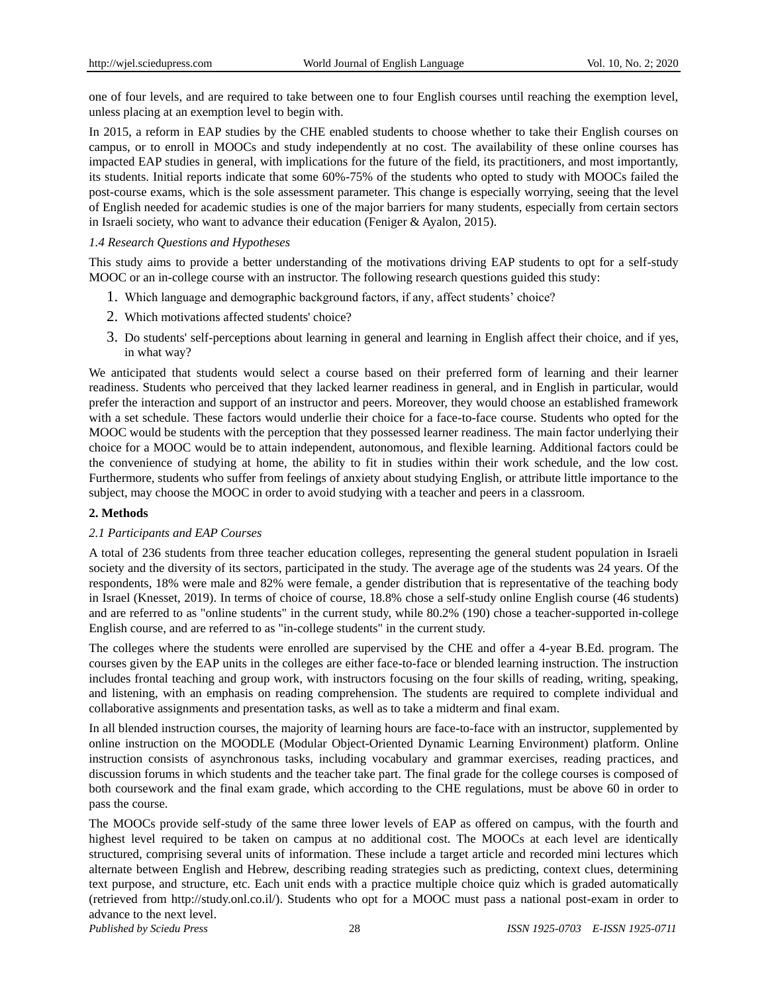one of four levels, and are required to take between one to four English courses until reaching the exemption level, unless placing at an exemption level to begin with.

In 2015, a reform in EAP studies by the CHE enabled students to choose whether to take their English courses on campus, or to enroll in MOOCs and study independently at no cost. The availability of these online courses has impacted EAP studies in general, with implications for the future of the field, its practitioners, and most importantly, its students. Initial reports indicate that some 60%-75% of the students who opted to study with MOOCs failed the post-course exams, which is the sole assessment parameter. This change is especially worrying, seeing that the level of English needed for academic studies is one of the major barriers for many students, especially from certain sectors in Israeli society, who want to advance their education (Feniger & Ayalon, 2015).

### *1.4 Research Questions and Hypotheses*

This study aims to provide a better understanding of the motivations driving EAP students to opt for a self-study MOOC or an in-college course with an instructor. The following research questions guided this study:

- 1. Which language and demographic background factors, if any, affect students' choice?
- 2. Which motivations affected students' choice?
- 3. Do students' self-perceptions about learning in general and learning in English affect their choice, and if yes, in what way?

We anticipated that students would select a course based on their preferred form of learning and their learner readiness. Students who perceived that they lacked learner readiness in general, and in English in particular, would prefer the interaction and support of an instructor and peers. Moreover, they would choose an established framework with a set schedule. These factors would underlie their choice for a face-to-face course. Students who opted for the MOOC would be students with the perception that they possessed learner readiness. The main factor underlying their choice for a MOOC would be to attain independent, autonomous, and flexible learning. Additional factors could be the convenience of studying at home, the ability to fit in studies within their work schedule, and the low cost. Furthermore, students who suffer from feelings of anxiety about studying English, or attribute little importance to the subject, may choose the MOOC in order to avoid studying with a teacher and peers in a classroom.

# **2. Methods**

# *2.1 Participants and EAP Courses*

A total of 236 students from three teacher education colleges, representing the general student population in Israeli society and the diversity of its sectors, participated in the study. The average age of the students was 24 years. Of the respondents, 18% were male and 82% were female, a gender distribution that is representative of the teaching body in Israel (Knesset, 2019). In terms of choice of course, 18.8% chose a self-study online English course (46 students) and are referred to as "online students" in the current study, while 80.2% (190) chose a teacher-supported in-college English course, and are referred to as "in-college students" in the current study.

The colleges where the students were enrolled are supervised by the CHE and offer a 4-year B.Ed. program. The courses given by the EAP units in the colleges are either face-to-face or blended learning instruction. The instruction includes frontal teaching and group work, with instructors focusing on the four skills of reading, writing, speaking, and listening, with an emphasis on reading comprehension. The students are required to complete individual and collaborative assignments and presentation tasks, as well as to take a midterm and final exam.

In all blended instruction courses, the majority of learning hours are face-to-face with an instructor, supplemented by online instruction on the MOODLE (Modular Object-Oriented Dynamic Learning Environment) platform. Online instruction consists of asynchronous tasks, including vocabulary and grammar exercises, reading practices, and discussion forums in which students and the teacher take part. The final grade for the college courses is composed of both coursework and the final exam grade, which according to the CHE regulations, must be above 60 in order to pass the course.

The MOOCs provide self-study of the same three lower levels of EAP as offered on campus, with the fourth and highest level required to be taken on campus at no additional cost. The MOOCs at each level are identically structured, comprising several units of information. These include a target article and recorded mini lectures which alternate between English and Hebrew, describing reading strategies such as predicting, context clues, determining text purpose, and structure, etc. Each unit ends with a practice multiple choice quiz which is graded automatically (retrieved from http://study.onl.co.il/). Students who opt for a MOOC must pass a national post-exam in order to advance to the next level.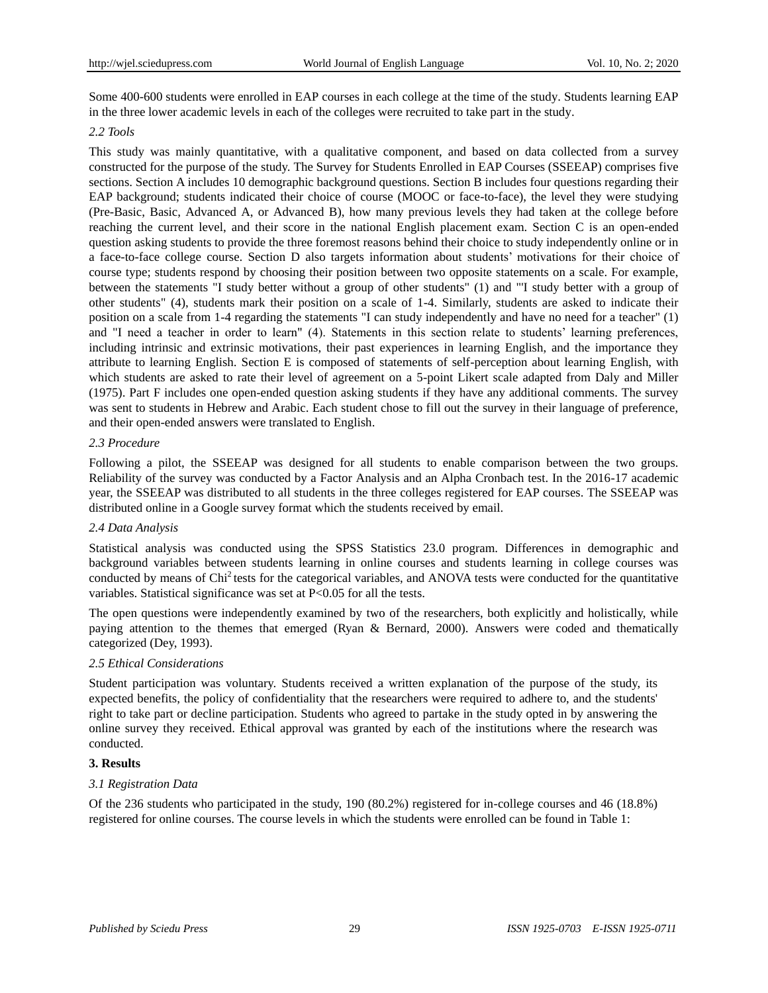Some 400-600 students were enrolled in EAP courses in each college at the time of the study. Students learning EAP in the three lower academic levels in each of the colleges were recruited to take part in the study.

### *2.2 Tools*

This study was mainly quantitative, with a qualitative component, and based on data collected from a survey constructed for the purpose of the study. The Survey for Students Enrolled in EAP Courses (SSEEAP) comprises five sections. Section A includes 10 demographic background questions. Section B includes four questions regarding their EAP background; students indicated their choice of course (MOOC or face-to-face), the level they were studying (Pre-Basic, Basic, Advanced A, or Advanced B), how many previous levels they had taken at the college before reaching the current level, and their score in the national English placement exam. Section C is an open-ended question asking students to provide the three foremost reasons behind their choice to study independently online or in a face-to-face college course. Section D also targets information about students' motivations for their choice of course type; students respond by choosing their position between two opposite statements on a scale. For example, between the statements "I study better without a group of other students" (1) and "'I study better with a group of other students" (4), students mark their position on a scale of 1-4. Similarly, students are asked to indicate their position on a scale from 1-4 regarding the statements "I can study independently and have no need for a teacher" (1) and "I need a teacher in order to learn" (4). Statements in this section relate to students' learning preferences, including intrinsic and extrinsic motivations, their past experiences in learning English, and the importance they attribute to learning English. Section E is composed of statements of self-perception about learning English, with which students are asked to rate their level of agreement on a 5-point Likert scale adapted from Daly and Miller (1975). Part F includes one open-ended question asking students if they have any additional comments. The survey was sent to students in Hebrew and Arabic. Each student chose to fill out the survey in their language of preference, and their open-ended answers were translated to English.

# *2.3 Procedure*

Following a pilot, the SSEEAP was designed for all students to enable comparison between the two groups. Reliability of the survey was conducted by a Factor Analysis and an Alpha Cronbach test. In the 2016-17 academic year, the SSEEAP was distributed to all students in the three colleges registered for EAP courses. The SSEEAP was distributed online in a Google survey format which the students received by email.

# *2.4 Data Analysis*

Statistical analysis was conducted using the SPSS Statistics 23.0 program. Differences in demographic and background variables between students learning in online courses and students learning in college courses was conducted by means of Chi<sup>2</sup> tests for the categorical variables, and ANOVA tests were conducted for the quantitative variables. Statistical significance was set at P<0.05 for all the tests.

The open questions were independently examined by two of the researchers, both explicitly and holistically, while paying attention to the themes that emerged (Ryan & Bernard, 2000). Answers were coded and thematically categorized (Dey, 1993).

# *2.5 Ethical Considerations*

Student participation was voluntary. Students received a written explanation of the purpose of the study, its expected benefits, the policy of confidentiality that the researchers were required to adhere to, and the students' right to take part or decline participation. Students who agreed to partake in the study opted in by answering the online survey they received. Ethical approval was granted by each of the institutions where the research was conducted.

# **3. Results**

# *3.1 Registration Data*

Of the 236 students who participated in the study, 190 (80.2%) registered for in-college courses and 46 (18.8%) registered for online courses. The course levels in which the students were enrolled can be found in Table 1: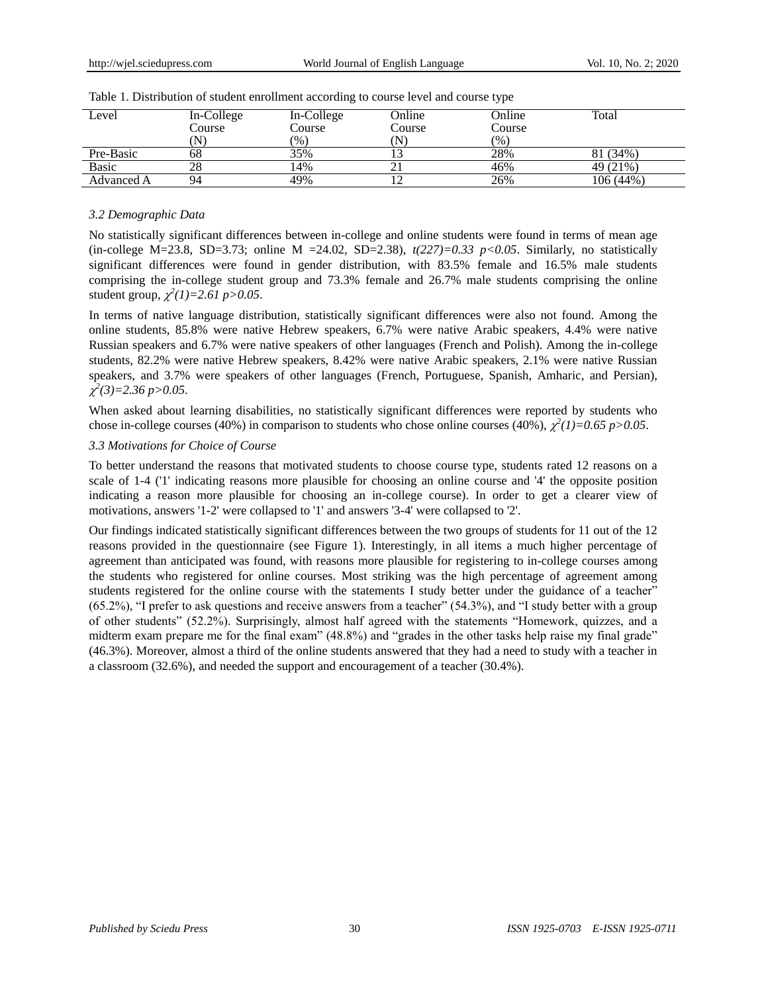| Level      | In-College<br>Course | In-College<br>Course | Online<br>Course | Online<br>Course | Total     |
|------------|----------------------|----------------------|------------------|------------------|-----------|
|            | N                    | (96)                 | N                | (%)              |           |
| Pre-Basic  | 68                   | 35%                  |                  | 28%              | 81 (34%)  |
| Basic      | 28                   | 4%                   |                  | 46%              | 49 (21%)  |
| Advanced A | 94                   | 49%                  |                  | 26%              | 106 (44%) |

Table 1. Distribution of student enrollment according to course level and course type

#### *3.2 Demographic Data*

No statistically significant differences between in-college and online students were found in terms of mean age (in-college M=23.8, SD=3.73; online M =24.02, SD=2.38),  $t(227)=0.33$  p<0.05. Similarly, no statistically significant differences were found in gender distribution, with 83.5% female and 16.5% male students comprising the in-college student group and 73.3% female and 26.7% male students comprising the online student group,  $\chi^2(1)=2.61 \text{ p}>0.05$ .

In terms of native language distribution, statistically significant differences were also not found. Among the online students, 85.8% were native Hebrew speakers, 6.7% were native Arabic speakers, 4.4% were native Russian speakers and 6.7% were native speakers of other languages (French and Polish). Among the in-college students, 82.2% were native Hebrew speakers, 8.42% were native Arabic speakers, 2.1% were native Russian speakers, and 3.7% were speakers of other languages (French, Portuguese, Spanish, Amharic, and Persian), *2 (3)=2.36 p>0.05*.

When asked about learning disabilities, no statistically significant differences were reported by students who chose in-college courses (40%) in comparison to students who chose online courses (40%),  $\chi^2(1)=0.65 \, p>0.05$ .

#### *3.3 Motivations for Choice of Course*

To better understand the reasons that motivated students to choose course type, students rated 12 reasons on a scale of 1-4 ('1' indicating reasons more plausible for choosing an online course and '4' the opposite position indicating a reason more plausible for choosing an in-college course). In order to get a clearer view of motivations, answers '1-2' were collapsed to '1' and answers '3-4' were collapsed to '2'.

Our findings indicated statistically significant differences between the two groups of students for 11 out of the 12 reasons provided in the questionnaire (see Figure 1). Interestingly, in all items a much higher percentage of agreement than anticipated was found, with reasons more plausible for registering to in-college courses among the students who registered for online courses. Most striking was the high percentage of agreement among students registered for the online course with the statements I study better under the guidance of a teacher" (65.2%), "I prefer to ask questions and receive answers from a teacher" (54.3%), and "I study better with a group of other students" (52.2%). Surprisingly, almost half agreed with the statements "Homework, quizzes, and a midterm exam prepare me for the final exam" (48.8%) and "grades in the other tasks help raise my final grade" (46.3%). Moreover, almost a third of the online students answered that they had a need to study with a teacher in a classroom (32.6%), and needed the support and encouragement of a teacher (30.4%).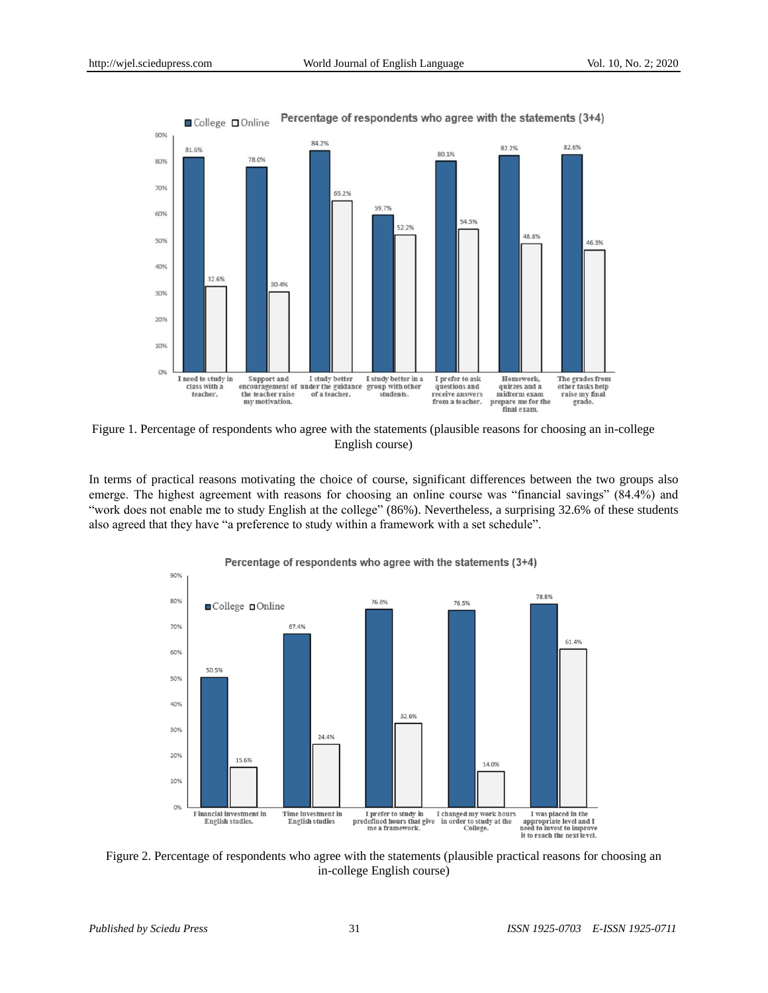

Figure 1. Percentage of respondents who agree with the statements (plausible reasons for choosing an in-college English course)

In terms of practical reasons motivating the choice of course, significant differences between the two groups also emerge. The highest agreement with reasons for choosing an online course was "financial savings" (84.4%) and "work does not enable me to study English at the college" (86%). Nevertheless, a surprising 32.6% of these students also agreed that they have "a preference to study within a framework with a set schedule".



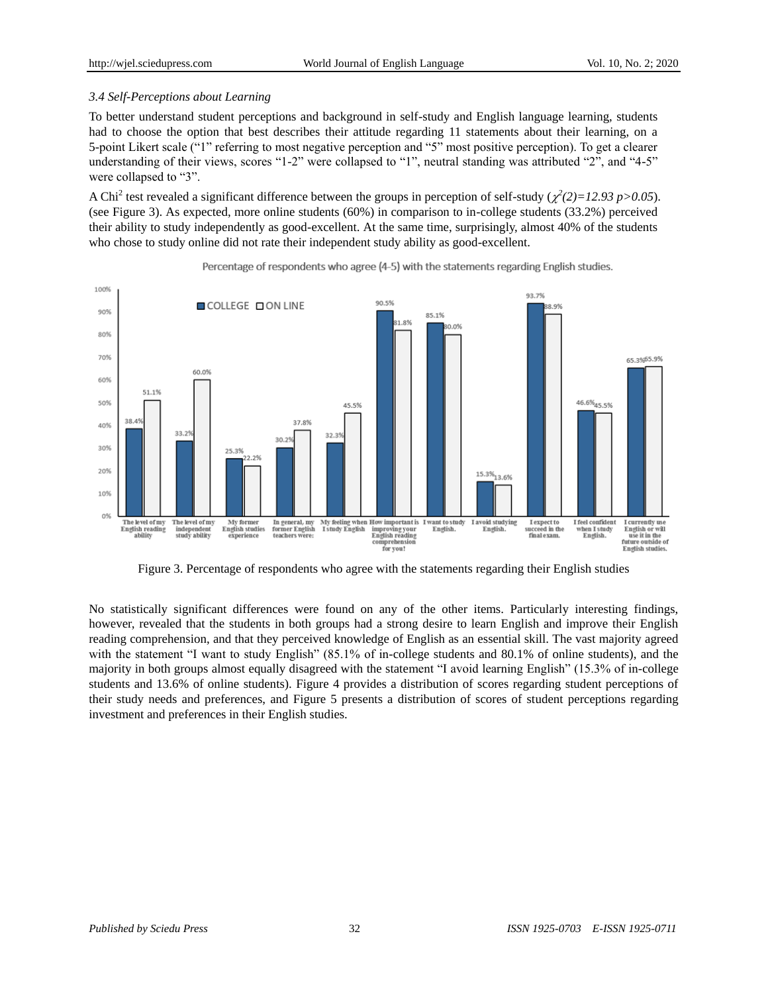#### *3.4 Self-Perceptions about Learning*

To better understand student perceptions and background in self-study and English language learning, students had to choose the option that best describes their attitude regarding 11 statements about their learning, on a 5-point Likert scale ("1" referring to most negative perception and "5" most positive perception). To get a clearer understanding of their views, scores "1-2" were collapsed to "1", neutral standing was attributed "2", and "4-5" were collapsed to "3".

A Chi<sup>2</sup> test revealed a significant difference between the groups in perception of self-study ( $\chi^2(2)=12.93 \text{ p}>0.05$ ). (see Figure 3). As expected, more online students (60%) in comparison to in-college students (33.2%) perceived their ability to study independently as good-excellent. At the same time, surprisingly, almost 40% of the students who chose to study online did not rate their independent study ability as good-excellent.



Percentage of respondents who agree (4-5) with the statements regarding English studies.

Figure 3. Percentage of respondents who agree with the statements regarding their English studies

No statistically significant differences were found on any of the other items. Particularly interesting findings, however, revealed that the students in both groups had a strong desire to learn English and improve their English reading comprehension, and that they perceived knowledge of English as an essential skill. The vast majority agreed with the statement "I want to study English" (85.1% of in-college students and 80.1% of online students), and the majority in both groups almost equally disagreed with the statement "I avoid learning English" (15.3% of in-college students and 13.6% of online students). Figure 4 provides a distribution of scores regarding student perceptions of their study needs and preferences, and Figure 5 presents a distribution of scores of student perceptions regarding investment and preferences in their English studies.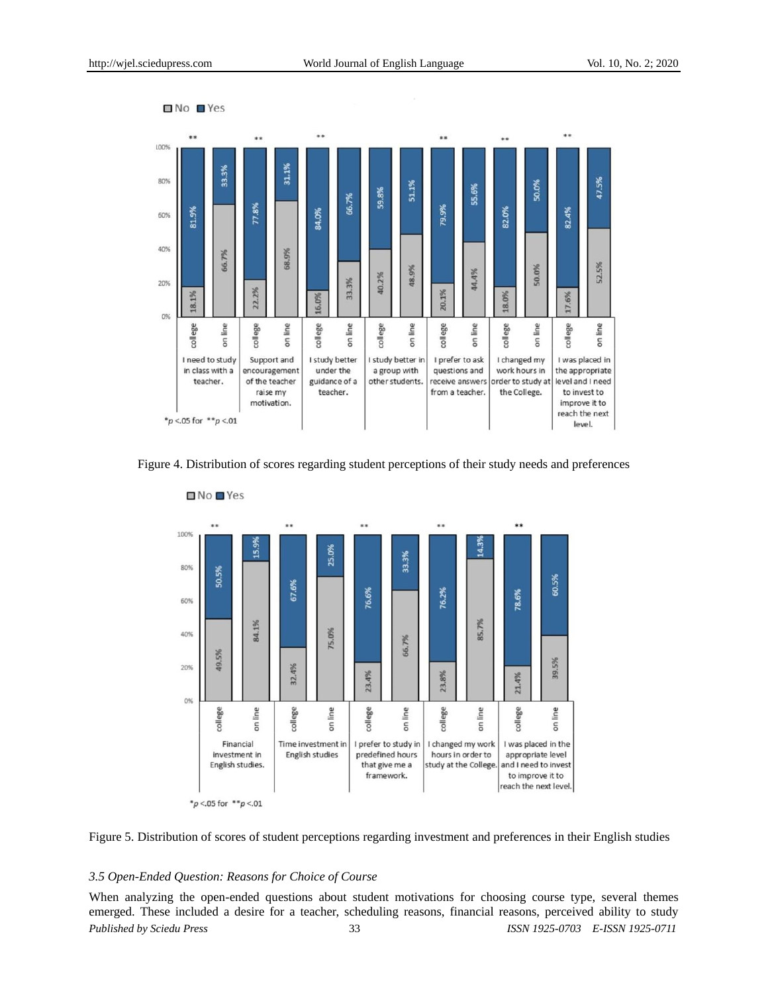

Figure 4. Distribution of scores regarding student perceptions of their study needs and preferences





#### *3.5 Open-Ended Question: Reasons for Choice of Course*

*Published by Sciedu Press* 33 *ISSN 1925-0703 E-ISSN 1925-0711* When analyzing the open-ended questions about student motivations for choosing course type, several themes emerged. These included a desire for a teacher, scheduling reasons, financial reasons, perceived ability to study

 $N$ o  $N$ es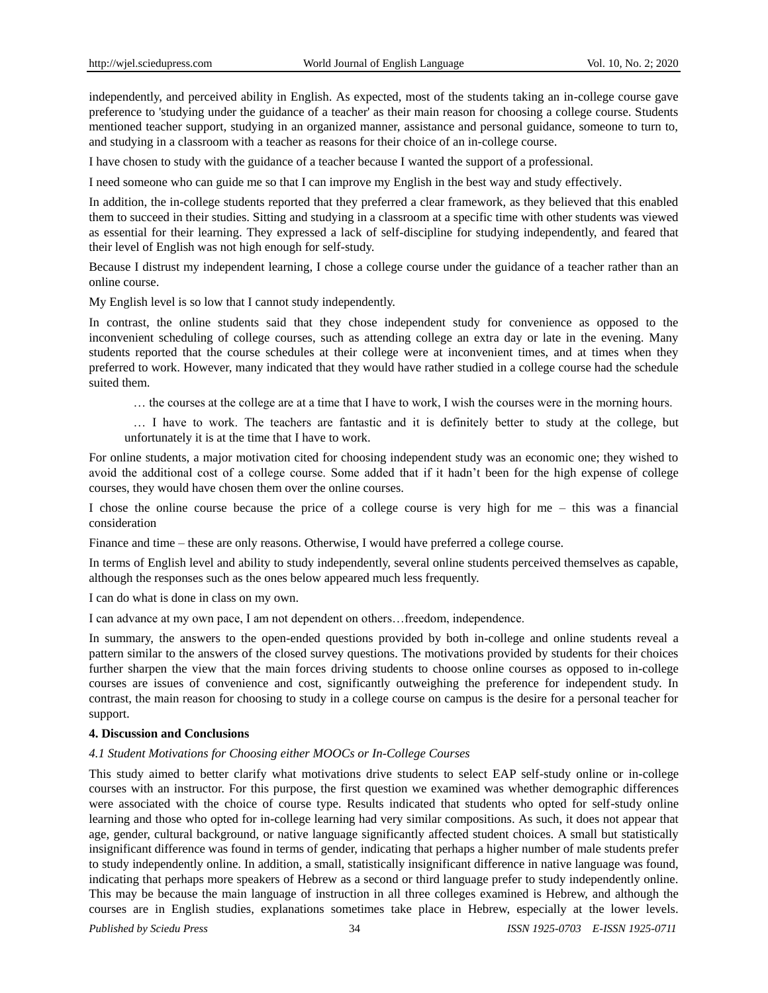independently, and perceived ability in English. As expected, most of the students taking an in-college course gave preference to 'studying under the guidance of a teacher' as their main reason for choosing a college course. Students mentioned teacher support, studying in an organized manner, assistance and personal guidance, someone to turn to, and studying in a classroom with a teacher as reasons for their choice of an in-college course.

I have chosen to study with the guidance of a teacher because I wanted the support of a professional.

I need someone who can guide me so that I can improve my English in the best way and study effectively.

In addition, the in-college students reported that they preferred a clear framework, as they believed that this enabled them to succeed in their studies. Sitting and studying in a classroom at a specific time with other students was viewed as essential for their learning. They expressed a lack of self-discipline for studying independently, and feared that their level of English was not high enough for self-study.

Because I distrust my independent learning, I chose a college course under the guidance of a teacher rather than an online course.

My English level is so low that I cannot study independently.

In contrast, the online students said that they chose independent study for convenience as opposed to the inconvenient scheduling of college courses, such as attending college an extra day or late in the evening. Many students reported that the course schedules at their college were at inconvenient times, and at times when they preferred to work. However, many indicated that they would have rather studied in a college course had the schedule suited them.

… the courses at the college are at a time that I have to work, I wish the courses were in the morning hours.

… I have to work. The teachers are fantastic and it is definitely better to study at the college, but unfortunately it is at the time that I have to work.

For online students, a major motivation cited for choosing independent study was an economic one; they wished to avoid the additional cost of a college course. Some added that if it hadn't been for the high expense of college courses, they would have chosen them over the online courses.

I chose the online course because the price of a college course is very high for me – this was a financial consideration

Finance and time – these are only reasons. Otherwise, I would have preferred a college course.

In terms of English level and ability to study independently, several online students perceived themselves as capable, although the responses such as the ones below appeared much less frequently.

I can do what is done in class on my own.

I can advance at my own pace, I am not dependent on others…freedom, independence.

In summary, the answers to the open-ended questions provided by both in-college and online students reveal a pattern similar to the answers of the closed survey questions. The motivations provided by students for their choices further sharpen the view that the main forces driving students to choose online courses as opposed to in-college courses are issues of convenience and cost, significantly outweighing the preference for independent study. In contrast, the main reason for choosing to study in a college course on campus is the desire for a personal teacher for support.

# **4. Discussion and Conclusions**

#### *4.1 Student Motivations for Choosing either MOOCs or In-College Courses*

This study aimed to better clarify what motivations drive students to select EAP self-study online or in-college courses with an instructor. For this purpose, the first question we examined was whether demographic differences were associated with the choice of course type. Results indicated that students who opted for self-study online learning and those who opted for in-college learning had very similar compositions. As such, it does not appear that age, gender, cultural background, or native language significantly affected student choices. A small but statistically insignificant difference was found in terms of gender, indicating that perhaps a higher number of male students prefer to study independently online. In addition, a small, statistically insignificant difference in native language was found, indicating that perhaps more speakers of Hebrew as a second or third language prefer to study independently online. This may be because the main language of instruction in all three colleges examined is Hebrew, and although the courses are in English studies, explanations sometimes take place in Hebrew, especially at the lower levels.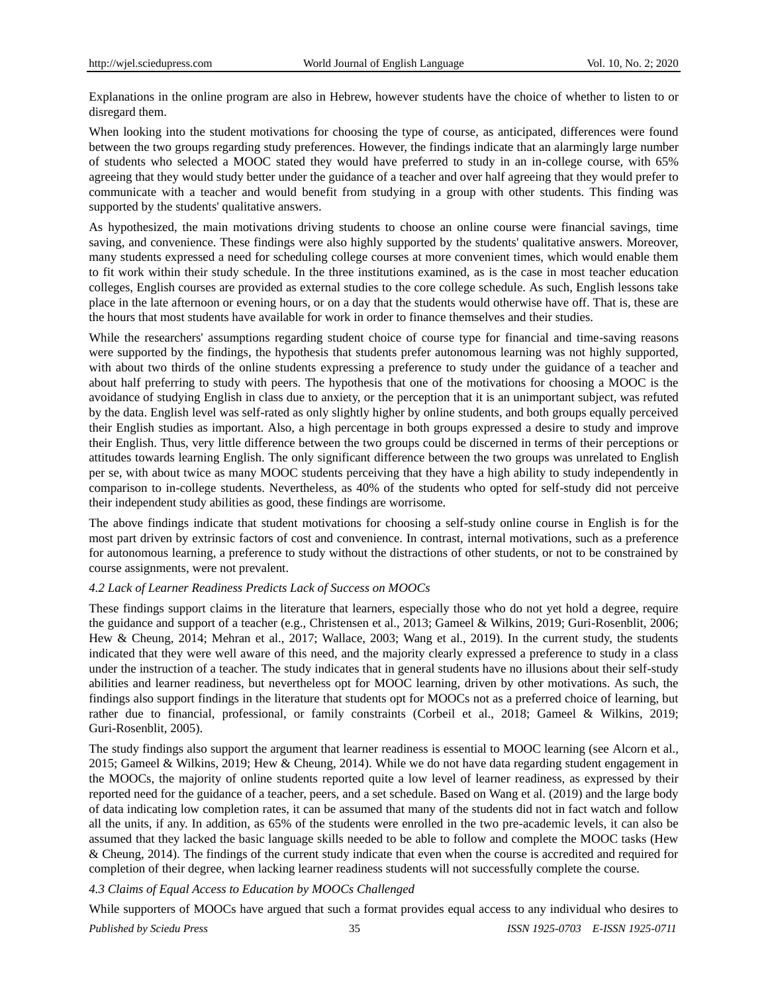Explanations in the online program are also in Hebrew, however students have the choice of whether to listen to or disregard them.

When looking into the student motivations for choosing the type of course, as anticipated, differences were found between the two groups regarding study preferences. However, the findings indicate that an alarmingly large number of students who selected a MOOC stated they would have preferred to study in an in-college course, with 65% agreeing that they would study better under the guidance of a teacher and over half agreeing that they would prefer to communicate with a teacher and would benefit from studying in a group with other students. This finding was supported by the students' qualitative answers.

As hypothesized, the main motivations driving students to choose an online course were financial savings, time saving, and convenience. These findings were also highly supported by the students' qualitative answers. Moreover, many students expressed a need for scheduling college courses at more convenient times, which would enable them to fit work within their study schedule. In the three institutions examined, as is the case in most teacher education colleges, English courses are provided as external studies to the core college schedule. As such, English lessons take place in the late afternoon or evening hours, or on a day that the students would otherwise have off. That is, these are the hours that most students have available for work in order to finance themselves and their studies.

While the researchers' assumptions regarding student choice of course type for financial and time-saving reasons were supported by the findings, the hypothesis that students prefer autonomous learning was not highly supported, with about two thirds of the online students expressing a preference to study under the guidance of a teacher and about half preferring to study with peers. The hypothesis that one of the motivations for choosing a MOOC is the avoidance of studying English in class due to anxiety, or the perception that it is an unimportant subject, was refuted by the data. English level was self-rated as only slightly higher by online students, and both groups equally perceived their English studies as important. Also, a high percentage in both groups expressed a desire to study and improve their English. Thus, very little difference between the two groups could be discerned in terms of their perceptions or attitudes towards learning English. The only significant difference between the two groups was unrelated to English per se, with about twice as many MOOC students perceiving that they have a high ability to study independently in comparison to in-college students. Nevertheless, as 40% of the students who opted for self-study did not perceive their independent study abilities as good, these findings are worrisome.

The above findings indicate that student motivations for choosing a self-study online course in English is for the most part driven by extrinsic factors of cost and convenience. In contrast, internal motivations, such as a preference for autonomous learning, a preference to study without the distractions of other students, or not to be constrained by course assignments, were not prevalent.

#### *4.2 Lack of Learner Readiness Predicts Lack of Success on MOOCs*

These findings support claims in the literature that learners, especially those who do not yet hold a degree, require the guidance and support of a teacher (e.g., Christensen et al., 2013; Gameel & Wilkins, 2019; Guri-Rosenblit, 2006; Hew & Cheung, 2014; Mehran et al., 2017; Wallace, 2003; Wang et al., 2019). In the current study, the students indicated that they were well aware of this need, and the majority clearly expressed a preference to study in a class under the instruction of a teacher. The study indicates that in general students have no illusions about their self-study abilities and learner readiness, but nevertheless opt for MOOC learning, driven by other motivations. As such, the findings also support findings in the literature that students opt for MOOCs not as a preferred choice of learning, but rather due to financial, professional, or family constraints (Corbeil et al., 2018; Gameel & Wilkins, 2019; Guri-Rosenblit, 2005).

The study findings also support the argument that learner readiness is essential to MOOC learning (see Alcorn et al., 2015; Gameel & Wilkins, 2019; Hew & Cheung, 2014). While we do not have data regarding student engagement in the MOOCs, the majority of online students reported quite a low level of learner readiness, as expressed by their reported need for the guidance of a teacher, peers, and a set schedule. Based on Wang et al. (2019) and the large body of data indicating low completion rates, it can be assumed that many of the students did not in fact watch and follow all the units, if any. In addition, as 65% of the students were enrolled in the two pre-academic levels, it can also be assumed that they lacked the basic language skills needed to be able to follow and complete the MOOC tasks (Hew & Cheung, 2014). The findings of the current study indicate that even when the course is accredited and required for completion of their degree, when lacking learner readiness students will not successfully complete the course.

#### *4.3 Claims of Equal Access to Education by MOOCs Challenged*

While supporters of MOOCs have argued that such a format provides equal access to any individual who desires to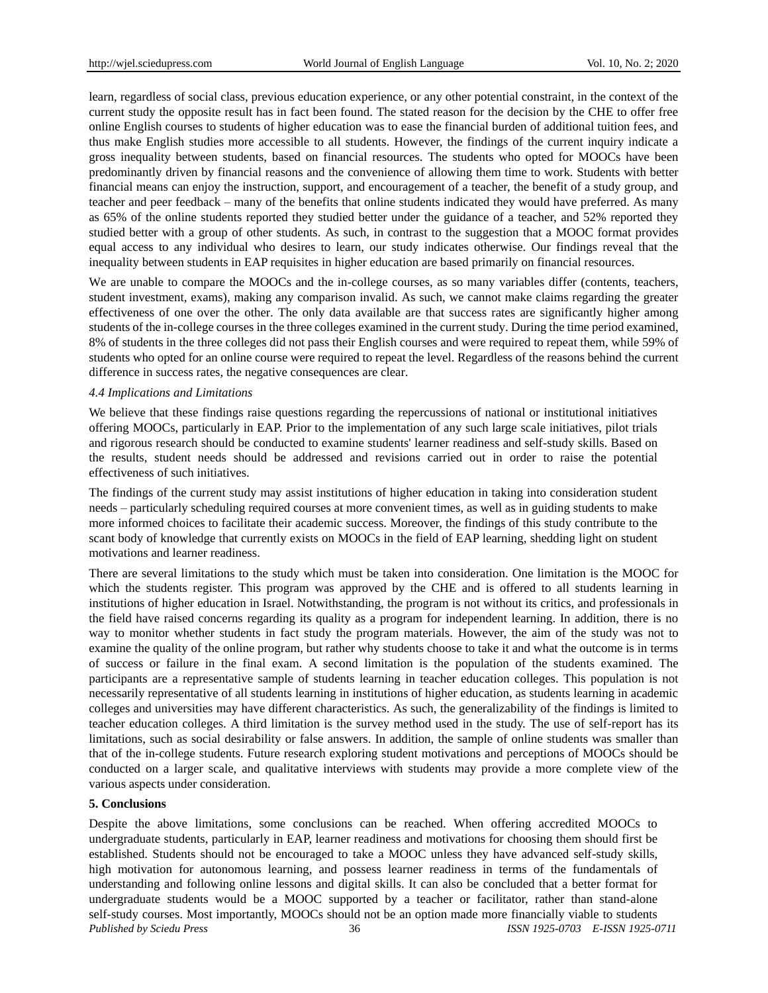learn, regardless of social class, previous education experience, or any other potential constraint, in the context of the current study the opposite result has in fact been found. The stated reason for the decision by the CHE to offer free online English courses to students of higher education was to ease the financial burden of additional tuition fees, and thus make English studies more accessible to all students. However, the findings of the current inquiry indicate a gross inequality between students, based on financial resources. The students who opted for MOOCs have been predominantly driven by financial reasons and the convenience of allowing them time to work. Students with better financial means can enjoy the instruction, support, and encouragement of a teacher, the benefit of a study group, and teacher and peer feedback – many of the benefits that online students indicated they would have preferred. As many as 65% of the online students reported they studied better under the guidance of a teacher, and 52% reported they studied better with a group of other students. As such, in contrast to the suggestion that a MOOC format provides equal access to any individual who desires to learn, our study indicates otherwise. Our findings reveal that the inequality between students in EAP requisites in higher education are based primarily on financial resources.

We are unable to compare the MOOCs and the in-college courses, as so many variables differ (contents, teachers, student investment, exams), making any comparison invalid. As such, we cannot make claims regarding the greater effectiveness of one over the other. The only data available are that success rates are significantly higher among students of the in-college courses in the three colleges examined in the current study. During the time period examined, 8% of students in the three colleges did not pass their English courses and were required to repeat them, while 59% of students who opted for an online course were required to repeat the level. Regardless of the reasons behind the current difference in success rates, the negative consequences are clear.

#### *4.4 Implications and Limitations*

We believe that these findings raise questions regarding the repercussions of national or institutional initiatives offering MOOCs, particularly in EAP. Prior to the implementation of any such large scale initiatives, pilot trials and rigorous research should be conducted to examine students' learner readiness and self-study skills. Based on the results, student needs should be addressed and revisions carried out in order to raise the potential effectiveness of such initiatives.

The findings of the current study may assist institutions of higher education in taking into consideration student needs – particularly scheduling required courses at more convenient times, as well as in guiding students to make more informed choices to facilitate their academic success. Moreover, the findings of this study contribute to the scant body of knowledge that currently exists on MOOCs in the field of EAP learning, shedding light on student motivations and learner readiness.

There are several limitations to the study which must be taken into consideration. One limitation is the MOOC for which the students register. This program was approved by the CHE and is offered to all students learning in institutions of higher education in Israel. Notwithstanding, the program is not without its critics, and professionals in the field have raised concerns regarding its quality as a program for independent learning. In addition, there is no way to monitor whether students in fact study the program materials. However, the aim of the study was not to examine the quality of the online program, but rather why students choose to take it and what the outcome is in terms of success or failure in the final exam. A second limitation is the population of the students examined. The participants are a representative sample of students learning in teacher education colleges. This population is not necessarily representative of all students learning in institutions of higher education, as students learning in academic colleges and universities may have different characteristics. As such, the generalizability of the findings is limited to teacher education colleges. A third limitation is the survey method used in the study. The use of self-report has its limitations, such as social desirability or false answers. In addition, the sample of online students was smaller than that of the in-college students. Future research exploring student motivations and perceptions of MOOCs should be conducted on a larger scale, and qualitative interviews with students may provide a more complete view of the various aspects under consideration.

#### **5. Conclusions**

*Published by Sciedu Press* 36 *ISSN 1925-0703 E-ISSN 1925-0711* Despite the above limitations, some conclusions can be reached. When offering accredited MOOCs to undergraduate students, particularly in EAP, learner readiness and motivations for choosing them should first be established. Students should not be encouraged to take a MOOC unless they have advanced self-study skills, high motivation for autonomous learning, and possess learner readiness in terms of the fundamentals of understanding and following online lessons and digital skills. It can also be concluded that a better format for undergraduate students would be a MOOC supported by a teacher or facilitator, rather than stand-alone self-study courses. Most importantly, MOOCs should not be an option made more financially viable to students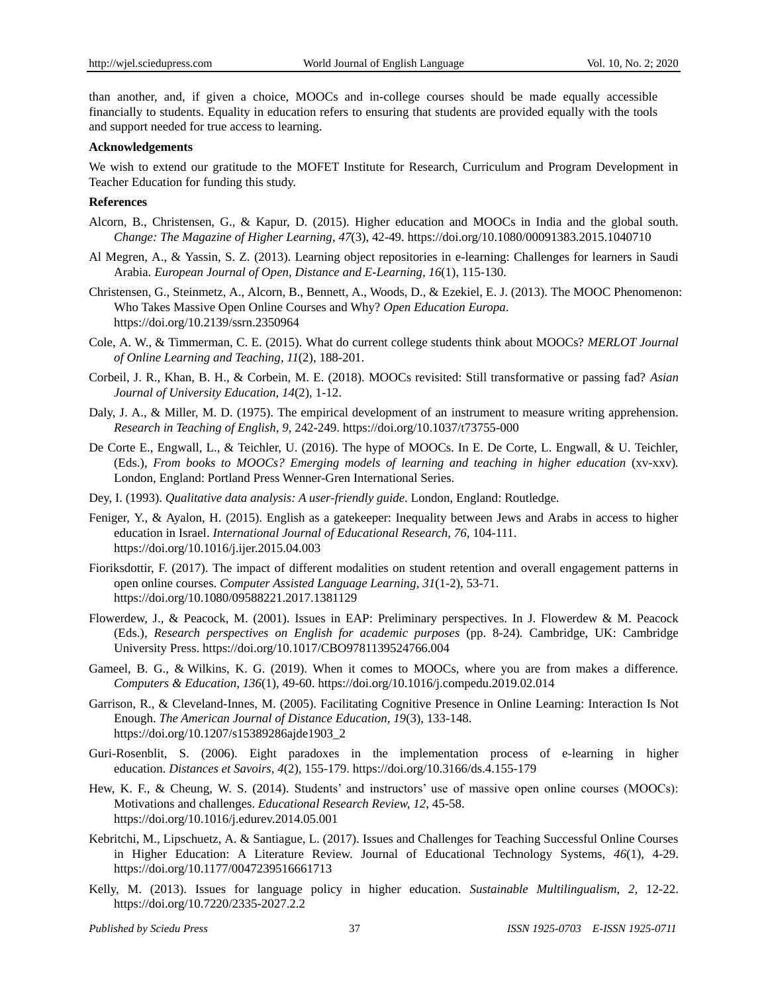than another, and, if given a choice, MOOCs and in-college courses should be made equally accessible financially to students. Equality in education refers to ensuring that students are provided equally with the tools and support needed for true access to learning.

### **Acknowledgements**

We wish to extend our gratitude to the MOFET Institute for Research, Curriculum and Program Development in Teacher Education for funding this study.

#### **References**

- Alcorn, B., Christensen, G., & Kapur, D. (2015). Higher education and MOOCs in India and the global south. *Change: The Magazine of Higher Learning*, *47*(3), 42-49. https://doi.org/10.1080/00091383.2015.1040710
- Al Megren, A., & Yassin, S. Z. (2013). Learning object repositories in e-learning: Challenges for learners in Saudi Arabia. *European Journal of Open, Distance and E-Learning, 16*(1), 115-130.
- Christensen, G., Steinmetz, A., Alcorn, B., Bennett, A., Woods, D., & Ezekiel, E. J. (2013). The MOOC Phenomenon: Who Takes Massive Open Online Courses and Why? *Open Education Europa*. https://doi.org/10.2139/ssrn.2350964
- Cole, A. W., & Timmerman, C. E. (2015). What do current college students think about MOOCs? *MERLOT Journal of Online Learning and Teaching*, *11*(2), 188-201.
- Corbeil, J. R., Khan, B. H., & Corbein, M. E. (2018). MOOCs revisited: Still transformative or passing fad? *Asian Journal of University Education*, *14*(2), 1-12.
- Daly, J. A., & Miller, M. D. (1975). The empirical development of an instrument to measure writing apprehension. *Research in Teaching of English*, *9*, 242-249. https://doi.org/10.1037/t73755-000
- De Corte E., Engwall, L., & Teichler, U. (2016). The hype of MOOCs. In E. De Corte, L. Engwall, & U. Teichler, (Eds.), *From books to MOOCs? Emerging models of learning and teaching in higher education* (xv-xxv)*.* London, England: Portland Press Wenner-Gren International Series.
- Dey, I. (1993). *Qualitative data analysis: A user-friendly guide*. London, England: Routledge.
- Feniger, Y., & Ayalon, H. (2015). English as a gatekeeper: Inequality between Jews and Arabs in access to higher education in Israel. *International Journal of Educational Research, 76,* 104-111. https://doi.org/10.1016/j.ijer.2015.04.003
- Fioriksdottir, F. (2017). The impact of different modalities on student retention and overall engagement patterns in open online courses. *Computer Assisted Language Learning, 31*(1-2), 53-71. https://doi.org/10.1080/09588221.2017.1381129
- Flowerdew, J., & Peacock, M. (2001). Issues in EAP: Preliminary perspectives. In J. Flowerdew & M. Peacock (Eds.), *Research perspectives on English for academic purposes* (pp. 8-24)*.* Cambridge, UK: Cambridge University Press. https://doi.org/10.1017/CBO9781139524766.004
- Gameel, B. G., & Wilkins, K. G. (2019). When it comes to MOOCs, where you are from makes a difference. *Computers & Education*, *136*(1), 49-60. https://doi.org/10.1016/j.compedu.2019.02.014
- Garrison, R., & Cleveland-Innes, M. (2005). Facilitating Cognitive Presence in Online Learning: Interaction Is Not Enough. *The American Journal of Distance Education, 19*(3), 133-148. https://doi.org/10.1207/s15389286ajde1903\_2
- Guri-Rosenblit, S. (2006). Eight paradoxes in the implementation process of e-learning in higher education. *Distances et Savoirs*, *4*(2), 155-179. https://doi.org/10.3166/ds.4.155-179
- Hew, K. F., & Cheung, W. S. (2014). Students' and instructors' use of massive open online courses (MOOCs): Motivations and challenges. *Educational Research Review, 12*, 45-58. https://doi.org/10.1016/j.edurev.2014.05.001
- Kebritchi, M., Lipschuetz, A. & Santiague, L. (2017). Issues and Challenges for Teaching Successful Online Courses in Higher Education: A Literature Review. Journal of Educational Technology Systems, *46*(1), 4-29. https://doi.org/10.1177/0047239516661713
- Kelly, M. (2013). Issues for language policy in higher education. *Sustainable Multilingualism*, *2,* 12-22. https://doi.org/10.7220/2335-2027.2.2